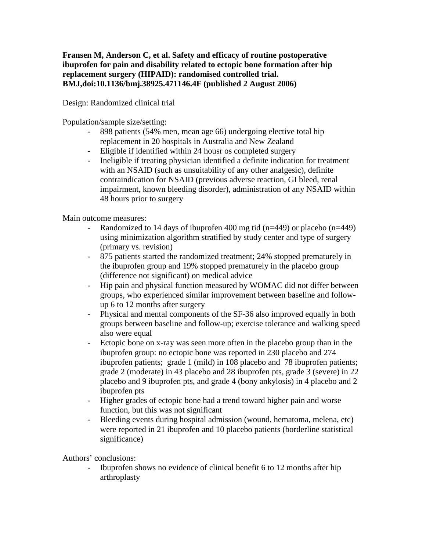## **Fransen M, Anderson C, et al. Safety and efficacy of routine postoperative ibuprofen for pain and disability related to ectopic bone formation after hip replacement surgery (HIPAID): randomised controlled trial. BMJ,doi:10.1136/bmj.38925.471146.4F (published 2 August 2006)**

Design: Randomized clinical trial

Population/sample size/setting:

- 898 patients (54% men, mean age 66) undergoing elective total hip replacement in 20 hospitals in Australia and New Zealand
- Eligible if identified within 24 housr os completed surgery
- Ineligible if treating physician identified a definite indication for treatment with an NSAID (such as unsuitability of any other analgesic), definite contraindication for NSAID (previous adverse reaction, GI bleed, renal impairment, known bleeding disorder), administration of any NSAID within 48 hours prior to surgery

Main outcome measures:

- Randomized to 14 days of ibuprofen 400 mg tid (n=449) or placebo (n=449) using minimization algorithm stratified by study center and type of surgery (primary vs. revision)
- 875 patients started the randomized treatment; 24% stopped prematurely in the ibuprofen group and 19% stopped prematurely in the placebo group (difference not significant) on medical advice
- Hip pain and physical function measured by WOMAC did not differ between groups, who experienced similar improvement between baseline and followup 6 to 12 months after surgery
- Physical and mental components of the SF-36 also improved equally in both groups between baseline and follow-up; exercise tolerance and walking speed also were equal
- Ectopic bone on x-ray was seen more often in the placebo group than in the ibuprofen group: no ectopic bone was reported in 230 placebo and 274 ibuprofen patients; grade 1 (mild) in 108 placebo and 78 ibuprofen patients; grade 2 (moderate) in 43 placebo and 28 ibuprofen pts, grade 3 (severe) in 22 placebo and 9 ibuprofen pts, and grade 4 (bony ankylosis) in 4 placebo and 2 ibuprofen pts
- Higher grades of ectopic bone had a trend toward higher pain and worse function, but this was not significant
- Bleeding events during hospital admission (wound, hematoma, melena, etc) were reported in 21 ibuprofen and 10 placebo patients (borderline statistical significance)

Authors' conclusions:

- Ibuprofen shows no evidence of clinical benefit 6 to 12 months after hip arthroplasty